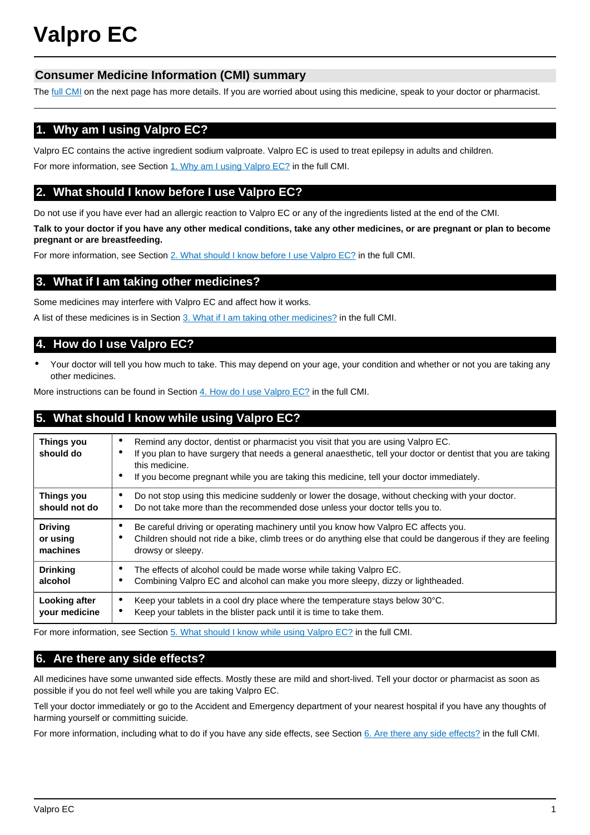# **Consumer Medicine Information (CMI) summary**

The [full CMI](#page-1-0) on the next page has more details. If you are worried about using this medicine, speak to your doctor or pharmacist.

# **1. Why am I using Valpro EC?**

Valpro EC contains the active ingredient sodium valproate. Valpro EC is used to treat epilepsy in adults and children.

For more information, see Section [1. Why am I using Valpro EC?](#page-1-1) in the full CMI.

# **2. What should I know before I use Valpro EC?**

Do not use if you have ever had an allergic reaction to Valpro EC or any of the ingredients listed at the end of the CMI.

**Talk to your doctor if you have any other medical conditions, take any other medicines, or are pregnant or plan to become pregnant or are breastfeeding.**

For more information, see Section [2. What should I know before I use Valpro EC?](#page-1-2) in the full CMI.

# **3. What if I am taking other medicines?**

Some medicines may interfere with Valpro EC and affect how it works.

A list of these medicines is in Section [3. What if I am taking other medicines?](#page-2-0) in the full CMI.

# **4. How do I use Valpro EC?**

• Your doctor will tell you how much to take. This may depend on your age, your condition and whether or not you are taking any other medicines.

More instructions can be found in Section [4. How do I use Valpro EC?](#page-2-1) in the full CMI.

# **5. What should I know while using Valpro EC?**

| <b>Things you</b><br>should do         | Remind any doctor, dentist or pharmacist you visit that you are using Valpro EC.<br>٠<br>If you plan to have surgery that needs a general anaesthetic, tell your doctor or dentist that you are taking<br>this medicine.<br>If you become pregnant while you are taking this medicine, tell your doctor immediately.<br>٠ |  |
|----------------------------------------|---------------------------------------------------------------------------------------------------------------------------------------------------------------------------------------------------------------------------------------------------------------------------------------------------------------------------|--|
| <b>Things you</b><br>should not do     | Do not stop using this medicine suddenly or lower the dosage, without checking with your doctor.<br>٠<br>Do not take more than the recommended dose unless your doctor tells you to.<br>٠                                                                                                                                 |  |
| <b>Driving</b><br>or using<br>machines | Be careful driving or operating machinery until you know how Valpro EC affects you.<br>Children should not ride a bike, climb trees or do anything else that could be dangerous if they are feeling<br>drowsy or sleepy.                                                                                                  |  |
| <b>Drinking</b><br>alcohol             | The effects of alcohol could be made worse while taking Valpro EC.<br>Combining Valpro EC and alcohol can make you more sleepy, dizzy or lightheaded.                                                                                                                                                                     |  |
| Looking after<br>your medicine         | Keep your tablets in a cool dry place where the temperature stays below 30°C.<br>Keep your tablets in the blister pack until it is time to take them.<br>٠                                                                                                                                                                |  |

For more information, see Section [5. What should I know while using Valpro EC?](#page-3-0) in the full CMI.

# **6. Are there any side effects?**

All medicines have some unwanted side effects. Mostly these are mild and short-lived. Tell your doctor or pharmacist as soon as possible if you do not feel well while you are taking Valpro EC.

Tell your doctor immediately or go to the Accident and Emergency department of your nearest hospital if you have any thoughts of harming yourself or committing suicide.

For more information, including what to do if you have any side effects, see Section [6. Are there any side effects?](#page-3-1) in the full CMI.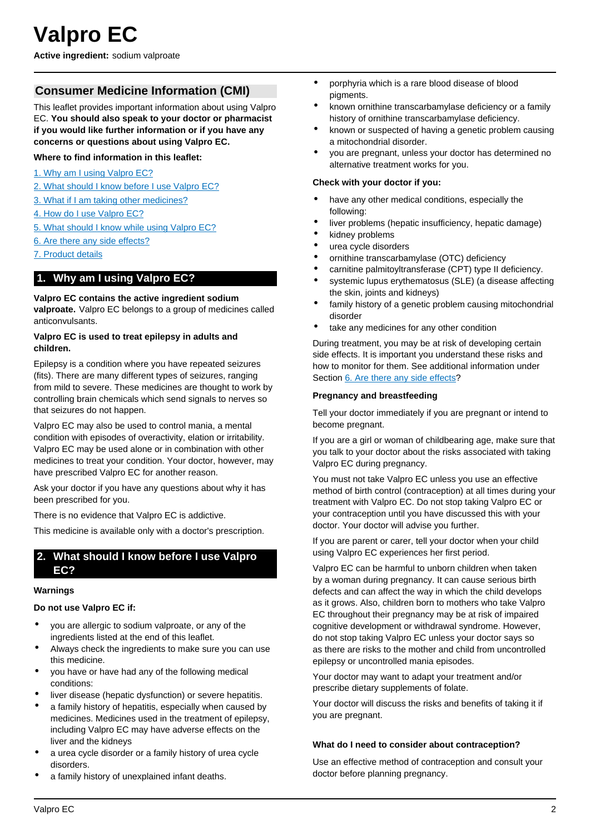<span id="page-1-0"></span>**Active ingredient:** sodium valproate

# **Consumer Medicine Information (CMI)**

This leaflet provides important information about using Valpro EC. **You should also speak to your doctor or pharmacist if you would like further information or if you have any concerns or questions about using Valpro EC.**

### **Where to find information in this leaflet:**

- [1. Why am I using Valpro EC?](#page-1-1)
- [2. What should I know before I use Valpro EC?](#page-1-2)
- [3. What if I am taking other medicines?](#page-2-0)
- [4. How do I use Valpro EC?](#page-2-1)
- [5. What should I know while using Valpro EC?](#page-3-0)
- [6. Are there any side effects?](#page-3-1)
- [7. Product details](#page-4-0)

# <span id="page-1-1"></span>**1. Why am I using Valpro EC?**

## **Valpro EC contains the active ingredient sodium**

**valproate.** Valpro EC belongs to a group of medicines called anticonvulsants.

### **Valpro EC is used to treat epilepsy in adults and children.**

Epilepsy is a condition where you have repeated seizures (fits). There are many different types of seizures, ranging from mild to severe. These medicines are thought to work by controlling brain chemicals which send signals to nerves so that seizures do not happen.

Valpro EC may also be used to control mania, a mental condition with episodes of overactivity, elation or irritability. Valpro EC may be used alone or in combination with other medicines to treat your condition. Your doctor, however, may have prescribed Valpro EC for another reason.

Ask your doctor if you have any questions about why it has been prescribed for you.

There is no evidence that Valpro EC is addictive.

This medicine is available only with a doctor's prescription.

# <span id="page-1-2"></span>**2. What should I know before I use Valpro EC?**

### **Warnings**

#### **Do not use Valpro EC if:**

- you are allergic to sodium valproate, or any of the ingredients listed at the end of this leaflet.
- Always check the ingredients to make sure you can use this medicine.
- you have or have had any of the following medical conditions:
- liver disease (hepatic dysfunction) or severe hepatitis.
- a family history of hepatitis, especially when caused by medicines. Medicines used in the treatment of epilepsy, including Valpro EC may have adverse effects on the liver and the kidneys
- a urea cycle disorder or a family history of urea cycle disorders.
- a family history of unexplained infant deaths.
- porphyria which is a rare blood disease of blood pigments.
- known ornithine transcarbamylase deficiency or a family history of ornithine transcarbamylase deficiency.
- known or suspected of having a genetic problem causing a mitochondrial disorder.
- you are pregnant, unless your doctor has determined no alternative treatment works for you.

#### **Check with your doctor if you:**

- have any other medical conditions, especially the following:
- liver problems (hepatic insufficiency, hepatic damage)
- kidney problems
- urea cycle disorders
- ornithine transcarbamylase (OTC) deficiency
- carnitine palmitoyltransferase (CPT) type II deficiency.
- systemic lupus erythematosus (SLE) (a disease affecting the skin, joints and kidneys)
- family history of a genetic problem causing mitochondrial disorder
- take any medicines for any other condition

During treatment, you may be at risk of developing certain side effects. It is important you understand these risks and how to monitor for them. See additional information under Section [6. Are there any side effects](#page-3-1)?

## **Pregnancy and breastfeeding**

Tell your doctor immediately if you are pregnant or intend to become pregnant.

If you are a girl or woman of childbearing age, make sure that you talk to your doctor about the risks associated with taking Valpro EC during pregnancy.

You must not take Valpro EC unless you use an effective method of birth control (contraception) at all times during your treatment with Valpro EC. Do not stop taking Valpro EC or your contraception until you have discussed this with your doctor. Your doctor will advise you further.

If you are parent or carer, tell your doctor when your child using Valpro EC experiences her first period.

Valpro EC can be harmful to unborn children when taken by a woman during pregnancy. It can cause serious birth defects and can affect the way in which the child develops as it grows. Also, children born to mothers who take Valpro EC throughout their pregnancy may be at risk of impaired cognitive development or withdrawal syndrome. However, do not stop taking Valpro EC unless your doctor says so as there are risks to the mother and child from uncontrolled epilepsy or uncontrolled mania episodes.

Your doctor may want to adapt your treatment and/or prescribe dietary supplements of folate.

Your doctor will discuss the risks and benefits of taking it if you are pregnant.

## **What do I need to consider about contraception?**

Use an effective method of contraception and consult your doctor before planning pregnancy.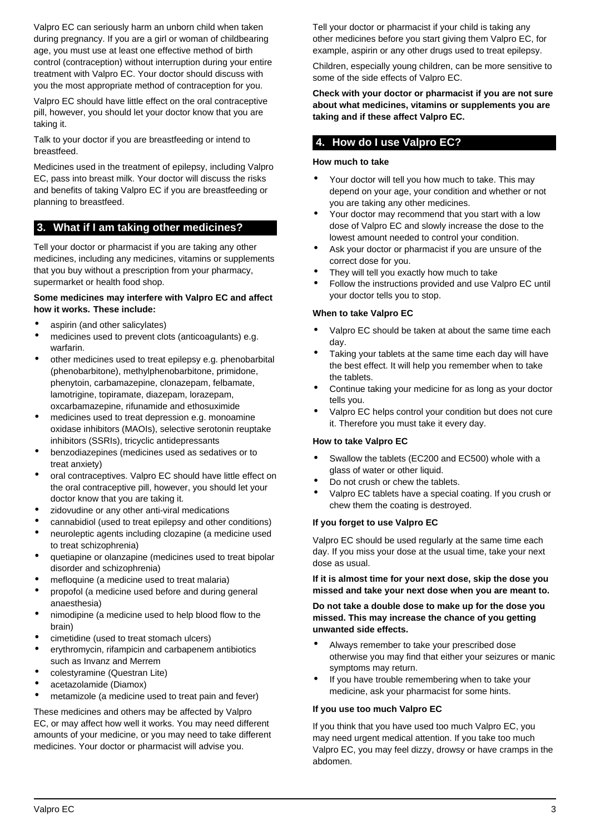Valpro EC can seriously harm an unborn child when taken during pregnancy. If you are a girl or woman of childbearing age, you must use at least one effective method of birth control (contraception) without interruption during your entire treatment with Valpro EC. Your doctor should discuss with you the most appropriate method of contraception for you.

Valpro EC should have little effect on the oral contraceptive pill, however, you should let your doctor know that you are taking it.

Talk to your doctor if you are breastfeeding or intend to breastfeed.

Medicines used in the treatment of epilepsy, including Valpro EC, pass into breast milk. Your doctor will discuss the risks and benefits of taking Valpro EC if you are breastfeeding or planning to breastfeed.

# <span id="page-2-0"></span>**3. What if I am taking other medicines?**

Tell your doctor or pharmacist if you are taking any other medicines, including any medicines, vitamins or supplements that you buy without a prescription from your pharmacy, supermarket or health food shop.

### **Some medicines may interfere with Valpro EC and affect how it works. These include:**

- aspirin (and other salicylates)
- medicines used to prevent clots (anticoagulants) e.g. warfarin.
- other medicines used to treat epilepsy e.g. phenobarbital (phenobarbitone), methylphenobarbitone, primidone, phenytoin, carbamazepine, clonazepam, felbamate, lamotrigine, topiramate, diazepam, lorazepam, oxcarbamazepine, rifunamide and ethosuximide
- medicines used to treat depression e.g. monoamine oxidase inhibitors (MAOIs), selective serotonin reuptake inhibitors (SSRIs), tricyclic antidepressants
- benzodiazepines (medicines used as sedatives or to treat anxiety)
- oral contraceptives. Valpro EC should have little effect on the oral contraceptive pill, however, you should let your doctor know that you are taking it.
- zidovudine or any other anti-viral medications
- cannabidiol (used to treat epilepsy and other conditions)
- neuroleptic agents including clozapine (a medicine used to treat schizophrenia)
- quetiapine or olanzapine (medicines used to treat bipolar disorder and schizophrenia)
- mefloquine (a medicine used to treat malaria)
- propofol (a medicine used before and during general anaesthesia)
- nimodipine (a medicine used to help blood flow to the brain)
- cimetidine (used to treat stomach ulcers)
- erythromycin, rifampicin and carbapenem antibiotics such as Invanz and Merrem
- colestyramine (Questran Lite)
- acetazolamide (Diamox)
- metamizole (a medicine used to treat pain and fever)

These medicines and others may be affected by Valpro EC, or may affect how well it works. You may need different amounts of your medicine, or you may need to take different medicines. Your doctor or pharmacist will advise you.

Tell your doctor or pharmacist if your child is taking any other medicines before you start giving them Valpro EC, for example, aspirin or any other drugs used to treat epilepsy.

Children, especially young children, can be more sensitive to some of the side effects of Valpro EC.

**Check with your doctor or pharmacist if you are not sure about what medicines, vitamins or supplements you are taking and if these affect Valpro EC.**

# <span id="page-2-1"></span>**4. How do I use Valpro EC?**

### **How much to take**

- Your doctor will tell you how much to take. This may depend on your age, your condition and whether or not you are taking any other medicines.
- Your doctor may recommend that you start with a low dose of Valpro EC and slowly increase the dose to the lowest amount needed to control your condition.
- Ask your doctor or pharmacist if you are unsure of the correct dose for you.
- They will tell you exactly how much to take
- Follow the instructions provided and use Valpro EC until your doctor tells you to stop.

### **When to take Valpro EC**

- Valpro EC should be taken at about the same time each day.
- Taking your tablets at the same time each day will have the best effect. It will help you remember when to take the tablets.
- Continue taking your medicine for as long as your doctor tells you.
- Valpro EC helps control your condition but does not cure it. Therefore you must take it every day.

## **How to take Valpro EC**

- Swallow the tablets (EC200 and EC500) whole with a glass of water or other liquid.
- Do not crush or chew the tablets.
- Valpro EC tablets have a special coating. If you crush or chew them the coating is destroyed.

#### **If you forget to use Valpro EC**

Valpro EC should be used regularly at the same time each day. If you miss your dose at the usual time, take your next dose as usual.

**If it is almost time for your next dose, skip the dose you missed and take your next dose when you are meant to.**

**Do not take a double dose to make up for the dose you missed. This may increase the chance of you getting unwanted side effects.**

- Always remember to take your prescribed dose otherwise you may find that either your seizures or manic symptoms may return.
- If you have trouble remembering when to take your medicine, ask your pharmacist for some hints.

#### **If you use too much Valpro EC**

If you think that you have used too much Valpro EC, you may need urgent medical attention. If you take too much Valpro EC, you may feel dizzy, drowsy or have cramps in the abdomen.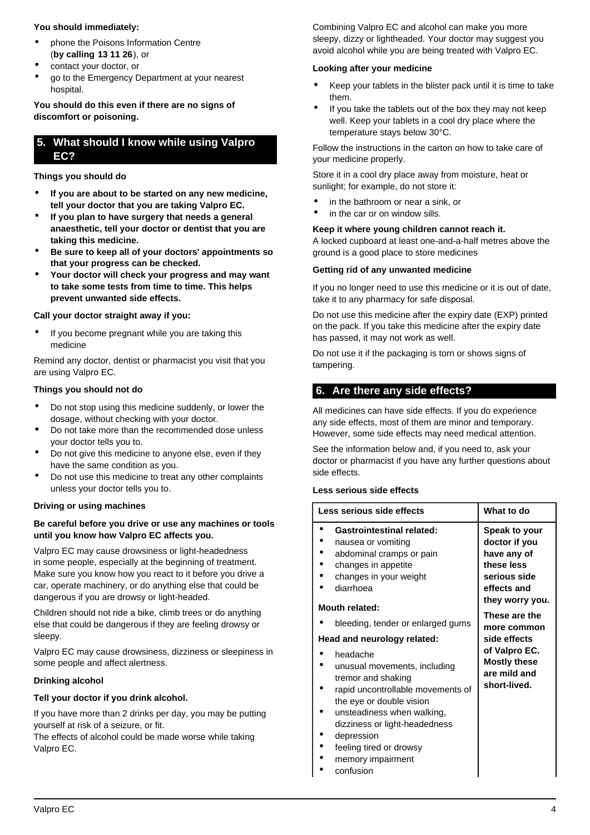## **You should immediately:**

- phone the Poisons Information Centre (**by calling 13 11 26**), or
- contact your doctor, or
- go to the Emergency Department at your nearest hospital.

**You should do this even if there are no signs of discomfort or poisoning.**

# <span id="page-3-0"></span>**5. What should I know while using Valpro EC?**

**Things you should do**

- **If you are about to be started on any new medicine, tell your doctor that you are taking Valpro EC.**
- **If you plan to have surgery that needs a general anaesthetic, tell your doctor or dentist that you are taking this medicine.**
- **Be sure to keep all of your doctors' appointments so that your progress can be checked.**
- **Your doctor will check your progress and may want to take some tests from time to time. This helps prevent unwanted side effects.**

# **Call your doctor straight away if you:**

If you become pregnant while you are taking this medicine

Remind any doctor, dentist or pharmacist you visit that you are using Valpro EC.

# **Things you should not do**

- Do not stop using this medicine suddenly, or lower the dosage, without checking with your doctor.
- Do not take more than the recommended dose unless your doctor tells you to.
- Do not give this medicine to anyone else, even if they have the same condition as you.
- Do not use this medicine to treat any other complaints unless your doctor tells you to.

## **Driving or using machines**

# **Be careful before you drive or use any machines or tools until you know how Valpro EC affects you.**

Valpro EC may cause drowsiness or light-headedness in some people, especially at the beginning of treatment. Make sure you know how you react to it before you drive a car, operate machinery, or do anything else that could be dangerous if you are drowsy or light-headed.

Children should not ride a bike, climb trees or do anything else that could be dangerous if they are feeling drowsy or sleepy.

Valpro EC may cause drowsiness, dizziness or sleepiness in some people and affect alertness.

# **Drinking alcohol**

## **Tell your doctor if you drink alcohol.**

If you have more than 2 drinks per day, you may be putting yourself at risk of a seizure, or fit.

The effects of alcohol could be made worse while taking Valpro EC.

Combining Valpro EC and alcohol can make you more sleepy, dizzy or lightheaded. Your doctor may suggest you avoid alcohol while you are being treated with Valpro EC.

### **Looking after your medicine**

- Keep your tablets in the blister pack until it is time to take them.
- If you take the tablets out of the box they may not keep well. Keep your tablets in a cool dry place where the temperature stays below 30°C.

Follow the instructions in the carton on how to take care of your medicine properly.

Store it in a cool dry place away from moisture, heat or sunlight; for example, do not store it:

- in the bathroom or near a sink, or
- in the car or on window sills.

## **Keep it where young children cannot reach it.**

A locked cupboard at least one-and-a-half metres above the ground is a good place to store medicines

## **Getting rid of any unwanted medicine**

If you no longer need to use this medicine or it is out of date, take it to any pharmacy for safe disposal.

Do not use this medicine after the expiry date (EXP) printed on the pack. If you take this medicine after the expiry date has passed, it may not work as well.

Do not use it if the packaging is torn or shows signs of tampering.

# <span id="page-3-1"></span>**6. Are there any side effects?**

All medicines can have side effects. If you do experience any side effects, most of them are minor and temporary. However, some side effects may need medical attention.

See the information below and, if you need to, ask your doctor or pharmacist if you have any further questions about side effects.

## **Less serious side effects**

| Less serious side effects                                                                                                                                                                                                                                                                                                            | What to do                                                                                                    |
|--------------------------------------------------------------------------------------------------------------------------------------------------------------------------------------------------------------------------------------------------------------------------------------------------------------------------------------|---------------------------------------------------------------------------------------------------------------|
| <b>Gastrointestinal related:</b><br>nausea or vomiting<br>abdominal cramps or pain<br>changes in appetite<br>changes in your weight<br>diarrhoea                                                                                                                                                                                     | Speak to your<br>doctor if you<br>have any of<br>these less<br>serious side<br>effects and<br>they worry you. |
| <b>Mouth related:</b>                                                                                                                                                                                                                                                                                                                | These are the                                                                                                 |
| bleeding, tender or enlarged gums                                                                                                                                                                                                                                                                                                    | more common                                                                                                   |
| Head and neurology related:                                                                                                                                                                                                                                                                                                          | side effects                                                                                                  |
| of Valpro EC.<br>headache<br><b>Mostly these</b><br>unusual movements, including<br>are mild and<br>tremor and shaking<br>short-lived.<br>rapid uncontrollable movements of<br>the eye or double vision<br>unsteadiness when walking,<br>dizziness or light-headedness<br>depression<br>feeling tired or drowsy<br>memory impairment |                                                                                                               |

• confusion